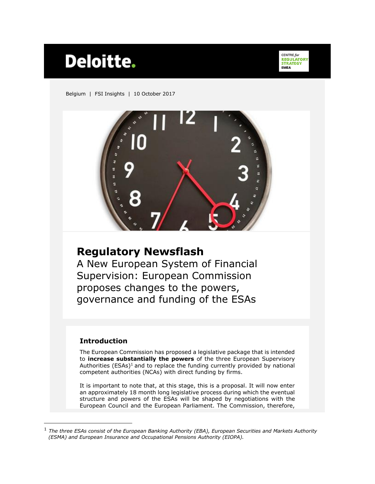# **Deloitte.**

CENTRE for **CENTRE for**<br>**REGULATORY**<br>**STRATEGY FMFA** 

Belgium | FSI Insights | 10 October 2017



# **Regulatory Newsflash**

A New European System of Financial Supervision: European Commission proposes changes to the powers, governance and funding of the ESAs

### **Introduction**

 $\overline{a}$ 

The European Commission has proposed a legislative package that is intended to **increase substantially the powers** of the three European Supervisory Authorities ( $ESAs$ )<sup>1</sup> and to replace the funding currently provided by national competent authorities (NCAs) with direct funding by firms.

It is important to note that, at this stage, this is a proposal. It will now enter an approximately 18 month long legislative process during which the eventual structure and powers of the ESAs will be shaped by negotiations with the European Council and the European Parliament. The Commission, therefore,

<sup>1</sup> *The three ESAs consist of the European Banking Authority (EBA), European Securities and Markets Authority (ESMA) and European Insurance and Occupational Pensions Authority (EIOPA).*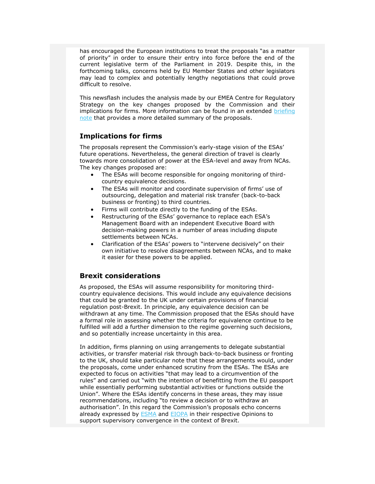has encouraged the European institutions to treat the proposals "as a matter of priority" in order to ensure their entry into force before the end of the current legislative term of the Parliament in 2019. Despite this, in the forthcoming talks, concerns held by EU Member States and other legislators may lead to complex and potentially lengthy negotiations that could prove difficult to resolve.

This newsflash includes the analysis made by our EMEA Centre for Regulatory Strategy on the key changes proposed by the Commission and their implications for firms. More information can be found in an extended [briefing](http://blogs.deloitte.co.uk/financialservices/-european-commission-proposes-a-new-european-system-of-financial-supervision.html)  [note](http://blogs.deloitte.co.uk/financialservices/-european-commission-proposes-a-new-european-system-of-financial-supervision.html) that provides a more detailed summary of the proposals.

#### **Implications for firms**

The proposals represent the Commission's early-stage vision of the ESAs' future operations. Nevertheless, the general direction of travel is clearly towards more consolidation of power at the ESA-level and away from NCAs. The key changes proposed are:

- The ESAs will become responsible for ongoing monitoring of thirdcountry equivalence decisions.
- The ESAs will monitor and coordinate supervision of firms' use of outsourcing, delegation and material risk transfer (back-to-back business or fronting) to third countries.
- Firms will contribute directly to the funding of the ESAs.
- Restructuring of the ESAs' governance to replace each ESA's Management Board with an independent Executive Board with decision-making powers in a number of areas including dispute settlements between NCAs.
- Clarification of the ESAs' powers to "intervene decisively" on their own initiative to resolve disagreements between NCAs, and to make it easier for these powers to be applied.

#### **Brexit considerations**

As proposed, the ESAs will assume responsibility for monitoring thirdcountry equivalence decisions. This would include any equivalence decisions that could be granted to the UK under certain provisions of financial regulation post-Brexit. In principle, any equivalence decision can be withdrawn at any time. The Commission proposed that the ESAs should have a formal role in assessing whether the criteria for equivalence continue to be fulfilled will add a further dimension to the regime governing such decisions, and so potentially increase uncertainty in this area.

In addition, firms planning on using arrangements to delegate substantial activities, or transfer material risk through back-to-back business or fronting to the UK, should take particular note that these arrangements would, under the proposals, come under enhanced scrutiny from the ESAs. The ESAs are expected to focus on activities "that may lead to a circumvention of the rules" and carried out "with the intention of benefitting from the EU passport while essentially performing substantial activities or functions outside the Union". Where the ESAs identify concerns in these areas, they may issue recommendations, including "to review a decision or to withdraw an authorisation". In this regard the Commission's proposals echo concerns already expressed by **ESMA** and **EIOPA** in their respective Opinions to support supervisory convergence in the context of Brexit.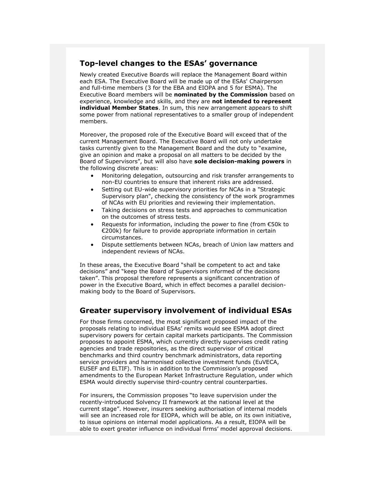## **Top-level changes to the ESAs' governance**

Newly created Executive Boards will replace the Management Board within each ESA. The Executive Board will be made up of the ESAs' Chairperson and full-time members (3 for the EBA and EIOPA and 5 for ESMA). The Executive Board members will be **nominated by the Commission** based on experience, knowledge and skills, and they are **not intended to represent individual Member States**. In sum, this new arrangement appears to shift some power from national representatives to a smaller group of independent members.

Moreover, the proposed role of the Executive Board will exceed that of the current Management Board. The Executive Board will not only undertake tasks currently given to the Management Board and the duty to "examine, give an opinion and make a proposal on all matters to be decided by the Board of Supervisors", but will also have **sole decision-making powers** in the following discrete areas:

- Monitoring delegation, outsourcing and risk transfer arrangements to non-EU countries to ensure that inherent risks are addressed.
- Setting out EU-wide supervisory priorities for NCAs in a "Strategic Supervisory plan", checking the consistency of the work programmes of NCAs with EU priorities and reviewing their implementation.
- Taking decisions on stress tests and approaches to communication on the outcomes of stress tests.
- Requests for information, including the power to fine (from €50k to €200k) for failure to provide appropriate information in certain circumstances.
- Dispute settlements between NCAs, breach of Union law matters and independent reviews of NCAs.

In these areas, the Executive Board "shall be competent to act and take decisions" and "keep the Board of Supervisors informed of the decisions taken". This proposal therefore represents a significant concentration of power in the Executive Board, which in effect becomes a parallel decisionmaking body to the Board of Supervisors.

### **Greater supervisory involvement of individual ESAs**

For those firms concerned, the most significant proposed impact of the proposals relating to individual ESAs' remits would see ESMA adopt direct supervisory powers for certain capital markets participants. The Commission proposes to appoint ESMA, which currently directly supervises credit rating agencies and trade repositories, as the direct supervisor of critical benchmarks and third country benchmark administrators, data reporting service providers and harmonised collective investment funds (EuVECA, EUSEF and ELTIF). This is in addition to the Commission's proposed amendments to the European Market Infrastructure Regulation, under which ESMA would directly supervise third-country central counterparties.

For insurers, the Commission proposes "to leave supervision under the recently-introduced Solvency II framework at the national level at the current stage". However, insurers seeking authorisation of internal models will see an increased role for EIOPA, which will be able, on its own initiative, to issue opinions on internal model applications. As a result, EIOPA will be able to exert greater influence on individual firms' model approval decisions.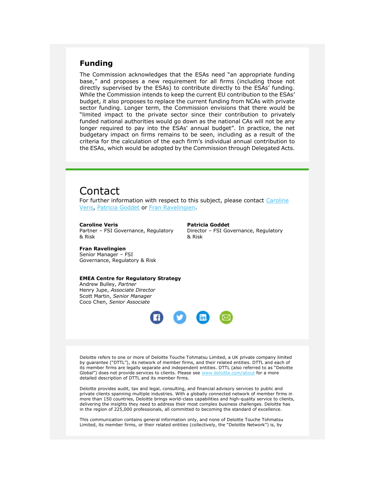#### **Funding**

The Commission acknowledges that the ESAs need "an appropriate funding base," and proposes a new requirement for all firms (including those not directly supervised by the ESAs) to contribute directly to the ESAs' funding. While the Commission intends to keep the current EU contribution to the ESAs' budget, it also proposes to replace the current funding from NCAs with private sector funding. Longer term, the Commission envisions that there would be "limited impact to the private sector since their contribution to privately funded national authorities would go down as the national CAs will not be any longer required to pay into the ESAs' annual budget". In practice, the net budgetary impact on firms remains to be seen, including as a result of the criteria for the calculation of the each firm's individual annual contribution to the ESAs, which would be adopted by the Commission through Delegated Acts.

# Contact

For further information with respect to this subject, please contact Caroline [Veris,](mailto:cveris@deloitte.com) [Patricia Goddet](mailto:pgoddet@deloitte.com) or [Fran Ravelingien.](mailto:fravelingien@deloitte.com)

#### **Caroline Veris**

Partner – FSI Governance, Regulatory & Risk

**Patricia Goddet** Director – FSI Governance, Regulatory & Risk

**Fran Ravelingien** Senior Manager – FSI Governance, Regulatory & Risk

#### **EMEA Centre for Regulatory Strategy**

Andrew Bulley, *Partner* Henry Jupe, *Associate Director* Scott Martin, *Senior Manager* Coco Chen, *Senior Associate*



Deloitte refers to one or more of Deloitte Touche Tohmatsu Limited, a UK private company limited by guarantee ("DTTL"), its network of member firms, and their related entities. DTTL and each of its member firms are legally separate and independent entities. DTTL (also referred to as "Deloitte Global") does not provide services to clients. Please see [www.deloitte.com/about](http://www.deloitte.com/about) for a more detailed description of DTTL and its member firms.

Deloitte provides audit, tax and legal, consulting, and financial advisory services to public and private clients spanning multiple industries. With a globally connected network of member firms in more than 150 countries, Deloitte brings world-class capabilities and high-quality service to clients, delivering the insights they need to address their most complex business challenges. Deloitte has in the region of 225,000 professionals, all committed to becoming the standard of excellence.

This communication contains general information only, and none of Deloitte Touche Tohmatsu Limited, its member firms, or their related entities (collectively, the "Deloitte Network") is, by